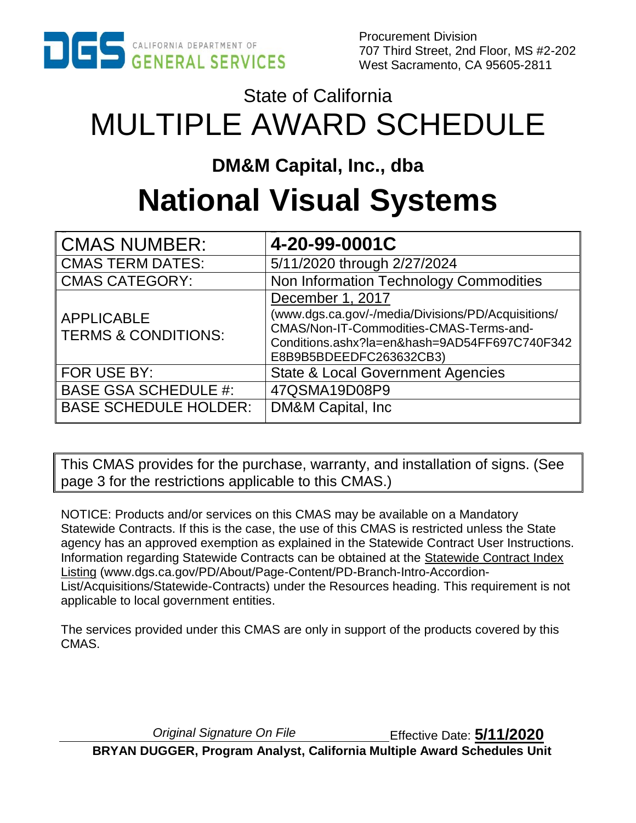

Procurement Division 707 Third Street, 2nd Floor, MS #2-202 West Sacramento, CA 95605-2811

# State of California MULTIPLE AWARD SCHEDULE

# **DM&M Capital, Inc., dba**

# **National Visual Systems**

| CMAS NUMBER:                                        | 4-20-99-0001C                                                                                                                                                                                 |
|-----------------------------------------------------|-----------------------------------------------------------------------------------------------------------------------------------------------------------------------------------------------|
| CMAS TERM DATES:                                    | 5/11/2020 through 2/27/2024                                                                                                                                                                   |
| <b>CMAS CATEGORY:</b>                               | Non Information Technology Commodities                                                                                                                                                        |
| <b>APPLICABLE</b><br><b>TERMS &amp; CONDITIONS:</b> | December 1, 2017<br>(www.dgs.ca.gov/-/media/Divisions/PD/Acquisitions/<br>CMAS/Non-IT-Commodities-CMAS-Terms-and-<br>Conditions.ashx?la=en&hash=9AD54FF697C740F342<br>E8B9B5BDEEDFC263632CB3) |
| FOR USE BY:                                         | <b>State &amp; Local Government Agencies</b>                                                                                                                                                  |
| <b>BASE GSA SCHEDULE #:</b>                         | 47QSMA19D08P9                                                                                                                                                                                 |
| <b>BASE SCHEDULE HOLDER:</b>                        | DM&M Capital, Inc                                                                                                                                                                             |

This CMAS provides for the purchase, warranty, and installation of signs. (See page 3 for the restrictions applicable to this CMAS.)

NOTICE: Products and/or services on this CMAS may be available on a Mandatory Statewide Contracts. If this is the case, the use of this CMAS is restricted unless the State agency has an approved exemption as explained in the Statewide Contract User Instructions. Information regarding Statewide Contracts can be obtained at the [Statewide Contract Index](https://www.dgs.ca.gov/PD/About/Page-Content/PD-Branch-Intro-Accordion-List/Acquisitions/Statewide-Contracts)  [Listing](https://www.dgs.ca.gov/PD/About/Page-Content/PD-Branch-Intro-Accordion-List/Acquisitions/Statewide-Contracts) (www.dgs.ca.gov/PD/About/Page-Content/PD-Branch-Intro-Accordion-List/Acquisitions/Statewide-Contracts) under the Resources heading. This requirement is not applicable to local government entities.

The services provided under this CMAS are only in support of the products covered by this CMAS.

*Original Signature On File* Effective Date: **5/11/2020 BRYAN DUGGER, Program Analyst, California Multiple Award Schedules Unit**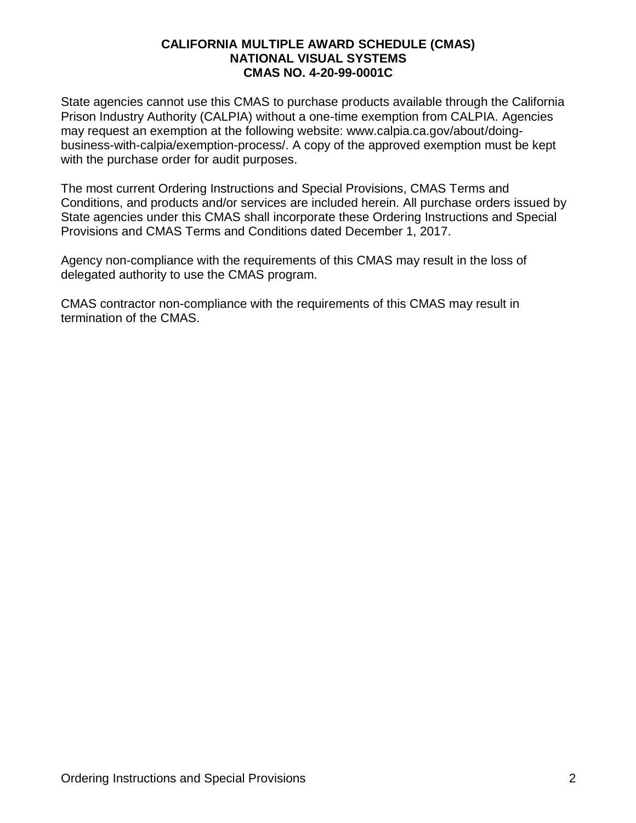State agencies cannot use this CMAS to purchase products available through the California Prison Industry Authority (CALPIA) without a one-time exemption from CALPIA. Agencies may request an exemption at the following website: www.calpia.ca.gov/about/doingbusiness-with-calpia/exemption-process/. A copy of the approved exemption must be kept with the purchase order for audit purposes.

The most current Ordering Instructions and Special Provisions, CMAS Terms and Conditions, and products and/or services are included herein. All purchase orders issued by State agencies under this CMAS shall incorporate these Ordering Instructions and Special Provisions and CMAS Terms and Conditions dated December 1, 2017.

Agency non-compliance with the requirements of this CMAS may result in the loss of delegated authority to use the CMAS program.

CMAS contractor non-compliance with the requirements of this CMAS may result in termination of the CMAS.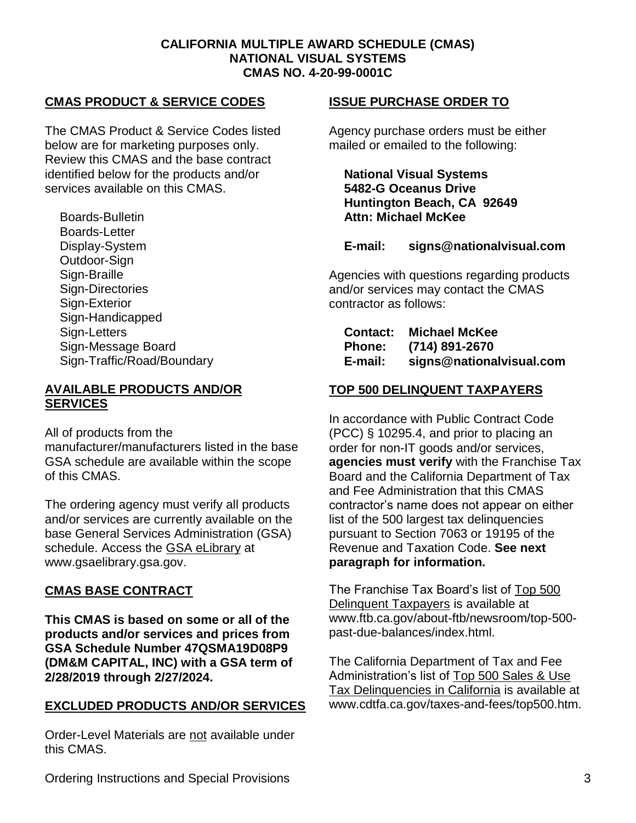#### **CMAS PRODUCT & SERVICE CODES**

The CMAS Product & Service Codes listed below are for marketing purposes only. Review this CMAS and the base contract identified below for the products and/or services available on this CMAS.

Boards-Bulletin Boards-Letter Display-System Outdoor-Sign Sign-Braille Sign-Directories Sign-Exterior Sign-Handicapped Sign-Letters Sign-Message Board Sign-Traffic/Road/Boundary

#### **AVAILABLE PRODUCTS AND/OR SERVICES**

All of products from the

manufacturer/manufacturers listed in the base GSA schedule are available within the scope of this CMAS.

The ordering agency must verify all products and/or services are currently available on the base General Services Administration (GSA) schedule. Access the [GSA eLibrary](http://www.gsaelibrary.gsa.gov/) at www.gsaelibrary.gsa.gov.

#### **CMAS BASE CONTRACT**

**This CMAS is based on some or all of the products and/or services and prices from GSA Schedule Number 47QSMA19D08P9 (DM&M CAPITAL, INC) with a GSA term of 2/28/2019 through 2/27/2024.**

#### **EXCLUDED PRODUCTS AND/OR SERVICES**

Order-Level Materials are not available under this CMAS.

#### **ISSUE PURCHASE ORDER TO**

Agency purchase orders must be either mailed or emailed to the following:

**National Visual Systems 5482-G Oceanus Drive Huntington Beach, CA 92649 Attn: Michael McKee**

#### **E-mail: signs@nationalvisual.com**

Agencies with questions regarding products and/or services may contact the CMAS contractor as follows:

| <b>Contact:</b> | <b>Michael McKee</b>     |
|-----------------|--------------------------|
| <b>Phone:</b>   | (714) 891-2670           |
| E-mail:         | signs@nationalvisual.com |

#### **TOP 500 DELINQUENT TAXPAYERS**

In accordance with Public Contract Code (PCC) § 10295.4, and prior to placing an order for non-IT goods and/or services, **agencies must verify** with the Franchise Tax Board and the California Department of Tax and Fee Administration that this CMAS contractor's name does not appear on either list of the 500 largest tax delinquencies pursuant to Section 7063 or 19195 of the Revenue and Taxation Code. **See next paragraph for information.**

The Franchise Tax Board's list of [Top 500](https://www.ftb.ca.gov/about-ftb/newsroom/top-500-past-due-balances/index.html)  [Delinquent Taxpayers](https://www.ftb.ca.gov/about-ftb/newsroom/top-500-past-due-balances/index.html) is available at www.ftb.ca.gov/about-ftb/newsroom/top-500 past-due-balances/index.html.

The California Department of Tax and Fee Administration's list of [Top 500 Sales & Use](http://www.cdtfa.ca.gov/taxes-and-fees/top500.htm)  [Tax Delinquencies in California](http://www.cdtfa.ca.gov/taxes-and-fees/top500.htm) is available at www.cdtfa.ca.gov/taxes-and-fees/top500.htm.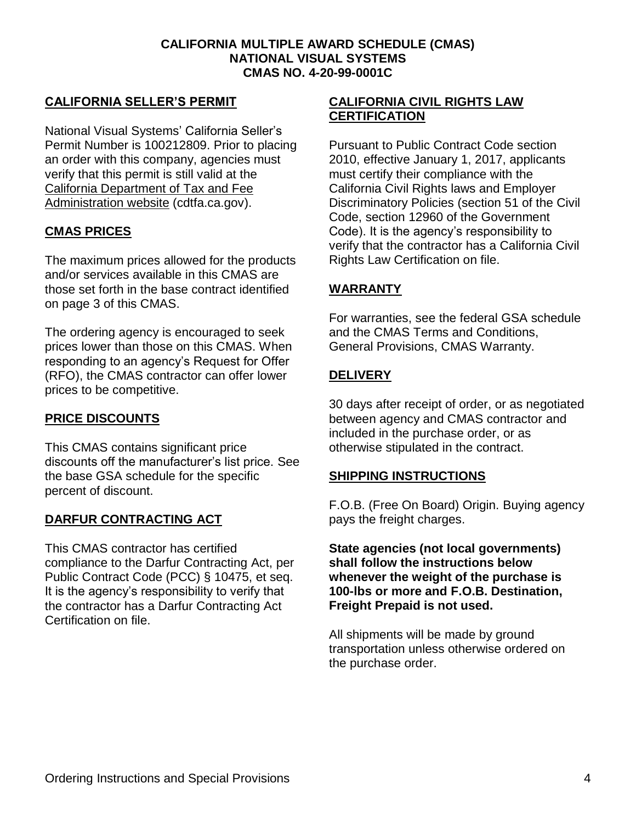#### **CALIFORNIA SELLER'S PERMIT**

National Visual Systems' California Seller's Permit Number is 100212809. Prior to placing an order with this company, agencies must verify that this permit is still valid at the [California Department of Tax and Fee](http://cdtfa.ca.gov/)  [Administration website](http://cdtfa.ca.gov/) (cdtfa.ca.gov).

#### **CMAS PRICES**

The maximum prices allowed for the products and/or services available in this CMAS are those set forth in the base contract identified on page 3 of this CMAS.

The ordering agency is encouraged to seek prices lower than those on this CMAS. When responding to an agency's Request for Offer (RFO), the CMAS contractor can offer lower prices to be competitive.

#### **PRICE DISCOUNTS**

This CMAS contains significant price discounts off the manufacturer's list price. See the base GSA schedule for the specific percent of discount.

#### **DARFUR CONTRACTING ACT**

This CMAS contractor has certified compliance to the Darfur Contracting Act, per Public Contract Code (PCC) § 10475, et seq. It is the agency's responsibility to verify that the contractor has a Darfur Contracting Act Certification on file.

#### **CALIFORNIA CIVIL RIGHTS LAW CERTIFICATION**

Pursuant to Public Contract Code section 2010, effective January 1, 2017, applicants must certify their compliance with the California Civil Rights laws and Employer Discriminatory Policies (section 51 of the Civil Code, section 12960 of the Government Code). It is the agency's responsibility to verify that the contractor has a California Civil Rights Law Certification on file.

#### **WARRANTY**

For warranties, see the federal GSA schedule and the CMAS Terms and Conditions, General Provisions, CMAS Warranty.

#### **DELIVERY**

30 days after receipt of order, or as negotiated between agency and CMAS contractor and included in the purchase order, or as otherwise stipulated in the contract.

#### **SHIPPING INSTRUCTIONS**

F.O.B. (Free On Board) Origin. Buying agency pays the freight charges.

**State agencies (not local governments) shall follow the instructions below whenever the weight of the purchase is 100-lbs or more and F.O.B. Destination, Freight Prepaid is not used.**

All shipments will be made by ground transportation unless otherwise ordered on the purchase order.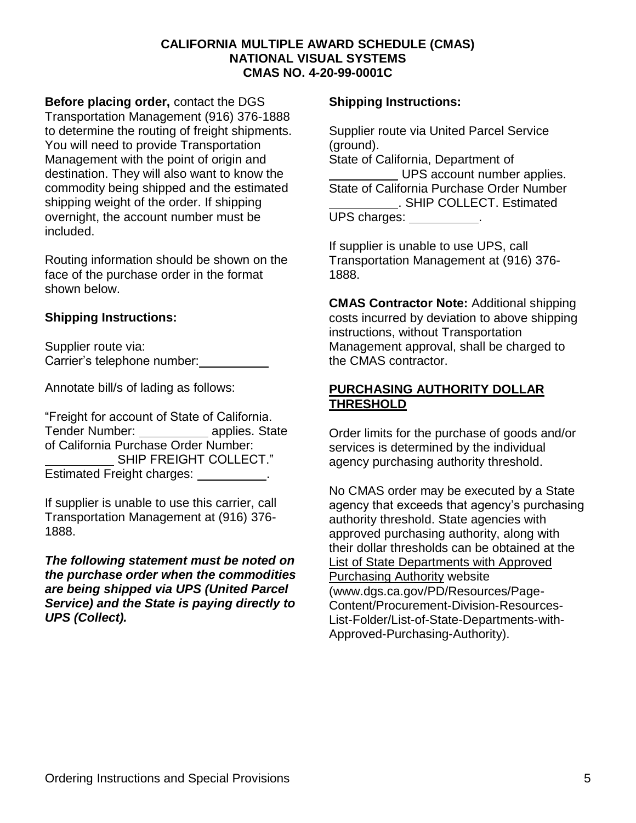**Before placing order,** contact the DGS Transportation Management (916) 376-1888 to determine the routing of freight shipments. You will need to provide Transportation Management with the point of origin and destination. They will also want to know the commodity being shipped and the estimated shipping weight of the order. If shipping overnight, the account number must be included.

Routing information should be shown on the face of the purchase order in the format shown below.

#### **Shipping Instructions:**

Supplier route via: Carrier's telephone number:

Annotate bill/s of lading as follows:

"Freight for account of State of California. Tender Number: applies. State of California Purchase Order Number: SHIP FREIGHT COLLECT." Estimated Freight charges: \_\_\_\_\_\_\_\_\_\_.

If supplier is unable to use this carrier, call Transportation Management at (916) 376- 1888.

*The following statement must be noted on the purchase order when the commodities are being shipped via UPS (United Parcel Service) and the State is paying directly to UPS (Collect).*

#### **Shipping Instructions:**

Supplier route via United Parcel Service (ground). State of California, Department of UPS account number applies. State of California Purchase Order Number . SHIP COLLECT. Estimated UPS charges: \_\_\_\_\_\_\_\_\_\_.

If supplier is unable to use UPS, call Transportation Management at (916) 376- 1888.

**CMAS Contractor Note:** Additional shipping costs incurred by deviation to above shipping instructions, without Transportation Management approval, shall be charged to the CMAS contractor.

#### **PURCHASING AUTHORITY DOLLAR THRESHOLD**

Order limits for the purchase of goods and/or services is determined by the individual agency purchasing authority threshold.

No CMAS order may be executed by a State agency that exceeds that agency's purchasing authority threshold. State agencies with approved purchasing authority, along with their dollar thresholds can be obtained at the [List of State Departments with Approved](https://www.dgs.ca.gov/PD/Resources/Page-Content/Procurement-Division-Resources-List-Folder/List-of-State-Departments-with-Approved-Purchasing-Authority)  [Purchasing Authority](https://www.dgs.ca.gov/PD/Resources/Page-Content/Procurement-Division-Resources-List-Folder/List-of-State-Departments-with-Approved-Purchasing-Authority) website (www.dgs.ca.gov/PD/Resources/Page-Content/Procurement-Division-Resources-List-Folder/List-of-State-Departments-with-Approved-Purchasing-Authority).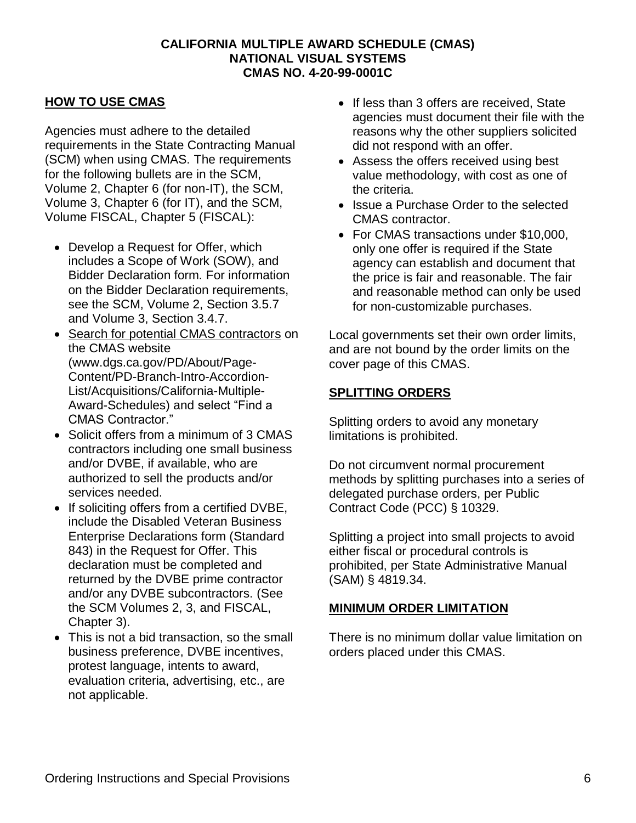#### **HOW TO USE CMAS**

Agencies must adhere to the detailed requirements in the State Contracting Manual (SCM) when using CMAS. The requirements for the following bullets are in the SCM, Volume 2, Chapter 6 (for non-IT), the SCM, Volume 3, Chapter 6 (for IT), and the SCM, Volume FISCAL, Chapter 5 (FISCAL):

- Develop a Request for Offer, which includes a Scope of Work (SOW), and Bidder Declaration form. For information on the Bidder Declaration requirements, see the SCM, Volume 2, Section 3.5.7 and Volume 3, Section 3.4.7.
- [Search for potential CMAS contractors](https://www.dgs.ca.gov/PD/About/Page-Content/PD-Branch-Intro-Accordion-List/Acquisitions/California-Multiple-Award-Schedules) on the CMAS website (www.dgs.ca.gov/PD/About/Page-Content/PD-Branch-Intro-Accordion-List/Acquisitions/California-Multiple-Award-Schedules) and select "Find a CMAS Contractor."
- Solicit offers from a minimum of 3 CMAS contractors including one small business and/or DVBE, if available, who are authorized to sell the products and/or services needed.
- If soliciting offers from a certified DVBE, include the Disabled Veteran Business Enterprise Declarations form (Standard 843) in the Request for Offer. This declaration must be completed and returned by the DVBE prime contractor and/or any DVBE subcontractors. (See the SCM Volumes 2, 3, and FISCAL, Chapter 3).
- This is not a bid transaction, so the small business preference, DVBE incentives, protest language, intents to award, evaluation criteria, advertising, etc., are not applicable.
- If less than 3 offers are received, State agencies must document their file with the reasons why the other suppliers solicited did not respond with an offer.
- Assess the offers received using best value methodology, with cost as one of the criteria.
- Issue a Purchase Order to the selected CMAS contractor.
- For CMAS transactions under \$10,000, only one offer is required if the State agency can establish and document that the price is fair and reasonable. The fair and reasonable method can only be used for non-customizable purchases.

Local governments set their own order limits, and are not bound by the order limits on the cover page of this CMAS.

#### **SPLITTING ORDERS**

Splitting orders to avoid any monetary limitations is prohibited.

Do not circumvent normal procurement methods by splitting purchases into a series of delegated purchase orders, per Public Contract Code (PCC) § 10329.

Splitting a project into small projects to avoid either fiscal or procedural controls is prohibited, per State Administrative Manual (SAM) § 4819.34.

#### **MINIMUM ORDER LIMITATION**

There is no minimum dollar value limitation on orders placed under this CMAS.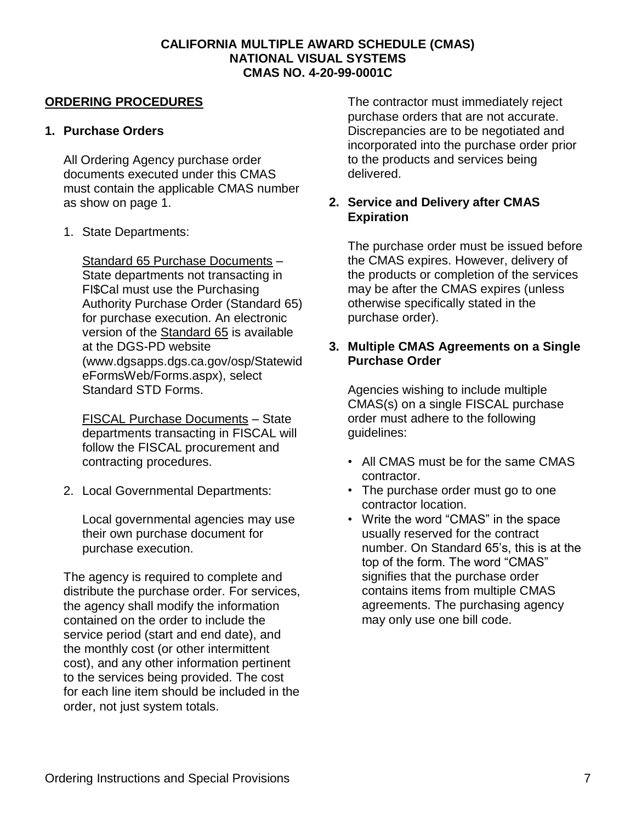#### **ORDERING PROCEDURES**

#### **1. Purchase Orders**

All Ordering Agency purchase order documents executed under this CMAS must contain the applicable CMAS number as show on page 1.

1. State Departments:

Standard 65 Purchase Documents – State departments not transacting in FI\$Cal must use the Purchasing Authority Purchase Order (Standard 65) for purchase execution. An electronic version of the [Standard](https://www.dgsapps.dgs.ca.gov/osp/StatewideFormsWeb/Forms.aspx) 65 is available at the DGS-PD website (www.dgsapps.dgs.ca.gov/osp/Statewid eFormsWeb/Forms.aspx), select Standard STD Forms.

FISCAL Purchase Documents – State departments transacting in FISCAL will follow the FISCAL procurement and contracting procedures.

2. Local Governmental Departments:

Local governmental agencies may use their own purchase document for purchase execution.

The agency is required to complete and distribute the purchase order. For services, the agency shall modify the information contained on the order to include the service period (start and end date), and the monthly cost (or other intermittent cost), and any other information pertinent to the services being provided. The cost for each line item should be included in the order, not just system totals.

The contractor must immediately reject purchase orders that are not accurate. Discrepancies are to be negotiated and incorporated into the purchase order prior to the products and services being delivered.

#### **2. Service and Delivery after CMAS Expiration**

The purchase order must be issued before the CMAS expires. However, delivery of the products or completion of the services may be after the CMAS expires (unless otherwise specifically stated in the purchase order).

#### **3. Multiple CMAS Agreements on a Single Purchase Order**

Agencies wishing to include multiple CMAS(s) on a single FISCAL purchase order must adhere to the following guidelines:

- All CMAS must be for the same CMAS contractor.
- The purchase order must go to one contractor location.
- Write the word "CMAS" in the space usually reserved for the contract number. On Standard 65's, this is at the top of the form. The word "CMAS" signifies that the purchase order contains items from multiple CMAS agreements. The purchasing agency may only use one bill code.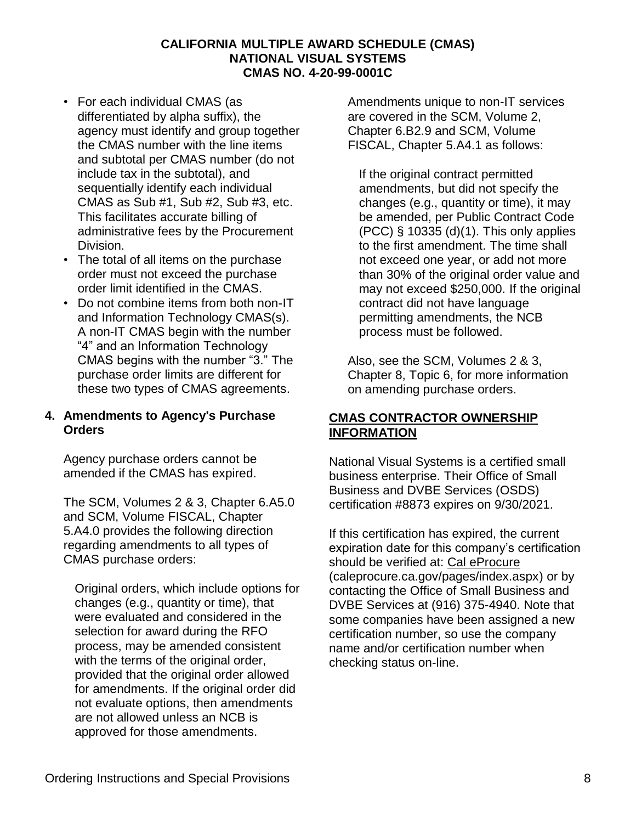- For each individual CMAS (as differentiated by alpha suffix), the agency must identify and group together the CMAS number with the line items and subtotal per CMAS number (do not include tax in the subtotal), and sequentially identify each individual CMAS as Sub #1, Sub #2, Sub #3, etc. This facilitates accurate billing of administrative fees by the Procurement Division.
- The total of all items on the purchase order must not exceed the purchase order limit identified in the CMAS.
- Do not combine items from both non-IT and Information Technology CMAS(s). A non-IT CMAS begin with the number "4" and an Information Technology CMAS begins with the number "3." The purchase order limits are different for these two types of CMAS agreements.

#### **4. Amendments to Agency's Purchase Orders**

Agency purchase orders cannot be amended if the CMAS has expired.

The SCM, Volumes 2 & 3, Chapter 6.A5.0 and SCM, Volume FISCAL, Chapter 5.A4.0 provides the following direction regarding amendments to all types of CMAS purchase orders:

Original orders, which include options for changes (e.g., quantity or time), that were evaluated and considered in the selection for award during the RFO process, may be amended consistent with the terms of the original order, provided that the original order allowed for amendments. If the original order did not evaluate options, then amendments are not allowed unless an NCB is approved for those amendments.

Amendments unique to non-IT services are covered in the SCM, Volume 2, Chapter 6.B2.9 and SCM, Volume FISCAL, Chapter 5.A4.1 as follows:

If the original contract permitted amendments, but did not specify the changes (e.g., quantity or time), it may be amended, per Public Contract Code (PCC) § 10335 (d)(1). This only applies to the first amendment. The time shall not exceed one year, or add not more than 30% of the original order value and may not exceed \$250,000. If the original contract did not have language permitting amendments, the NCB process must be followed.

Also, see the SCM, Volumes 2 & 3, Chapter 8, Topic 6, for more information on amending purchase orders.

#### **CMAS CONTRACTOR OWNERSHIP INFORMATION**

National Visual Systems is a certified small business enterprise. Their Office of Small Business and DVBE Services (OSDS) certification #8873 expires on 9/30/2021.

If this certification has expired, the current expiration date for this company's certification should be verified at: [Cal eProcure](https://caleprocure.ca.gov/pages/index.aspx) (caleprocure.ca.gov/pages/index.aspx) or by contacting the Office of Small Business and DVBE Services at (916) 375-4940. Note that some companies have been assigned a new certification number, so use the company name and/or certification number when checking status on-line.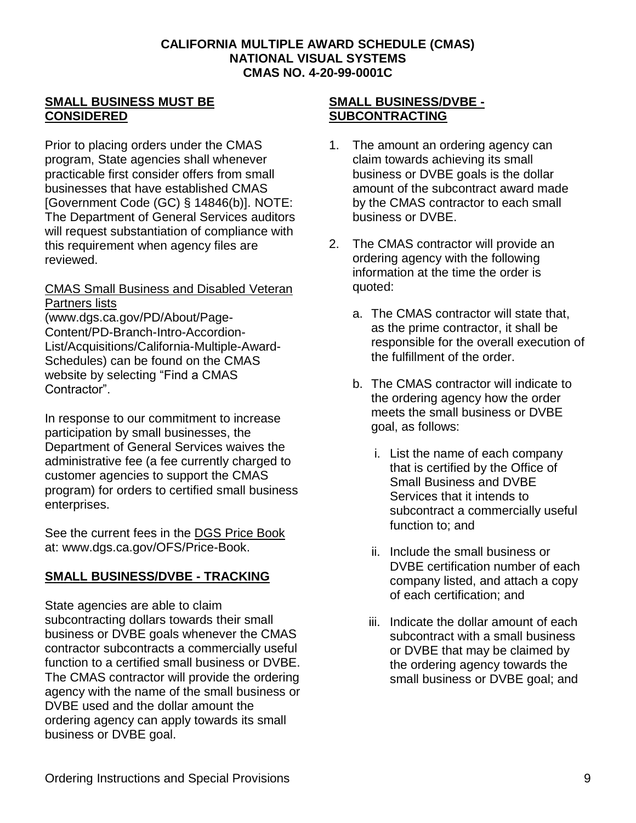#### **SMALL BUSINESS MUST BE CONSIDERED**

Prior to placing orders under the CMAS program, State agencies shall whenever practicable first consider offers from small businesses that have established CMAS [Government Code (GC) § 14846(b)]. NOTE: The Department of General Services auditors will request substantiation of compliance with this requirement when agency files are reviewed.

#### [CMAS Small Business and Disabled Veteran](https://www.dgs.ca.gov/PD/About/Page-Content/PD-Branch-Intro-Accordion-List/Acquisitions/California-Multiple-Award-Schedules)  [Partners lists](https://www.dgs.ca.gov/PD/About/Page-Content/PD-Branch-Intro-Accordion-List/Acquisitions/California-Multiple-Award-Schedules)

(www.dgs.ca.gov/PD/About/Page-Content/PD-Branch-Intro-Accordion-List/Acquisitions/California-Multiple-Award-Schedules) can be found on the CMAS website by selecting "Find a CMAS Contractor".

In response to our commitment to increase participation by small businesses, the Department of General Services waives the administrative fee (a fee currently charged to customer agencies to support the CMAS program) for orders to certified small business enterprises.

See the current fees in the [DGS Price Book](http://www.dgs.ca.gov/OFS/Price-Book)  at: www.dgs.ca.gov/OFS/Price-Book.

# **SMALL BUSINESS/DVBE - TRACKING**

State agencies are able to claim subcontracting dollars towards their small business or DVBE goals whenever the CMAS contractor subcontracts a commercially useful function to a certified small business or DVBE. The CMAS contractor will provide the ordering agency with the name of the small business or DVBE used and the dollar amount the ordering agency can apply towards its small business or DVBE goal.

#### **SMALL BUSINESS/DVBE - SUBCONTRACTING**

- 1. The amount an ordering agency can claim towards achieving its small business or DVBE goals is the dollar amount of the subcontract award made by the CMAS contractor to each small business or DVBE.
- 2. The CMAS contractor will provide an ordering agency with the following information at the time the order is quoted:
	- a. The CMAS contractor will state that, as the prime contractor, it shall be responsible for the overall execution of the fulfillment of the order.
	- b. The CMAS contractor will indicate to the ordering agency how the order meets the small business or DVBE goal, as follows:
		- i. List the name of each company that is certified by the Office of Small Business and DVBE Services that it intends to subcontract a commercially useful function to; and
		- ii. Include the small business or DVBE certification number of each company listed, and attach a copy of each certification; and
		- iii. Indicate the dollar amount of each subcontract with a small business or DVBE that may be claimed by the ordering agency towards the small business or DVBE goal; and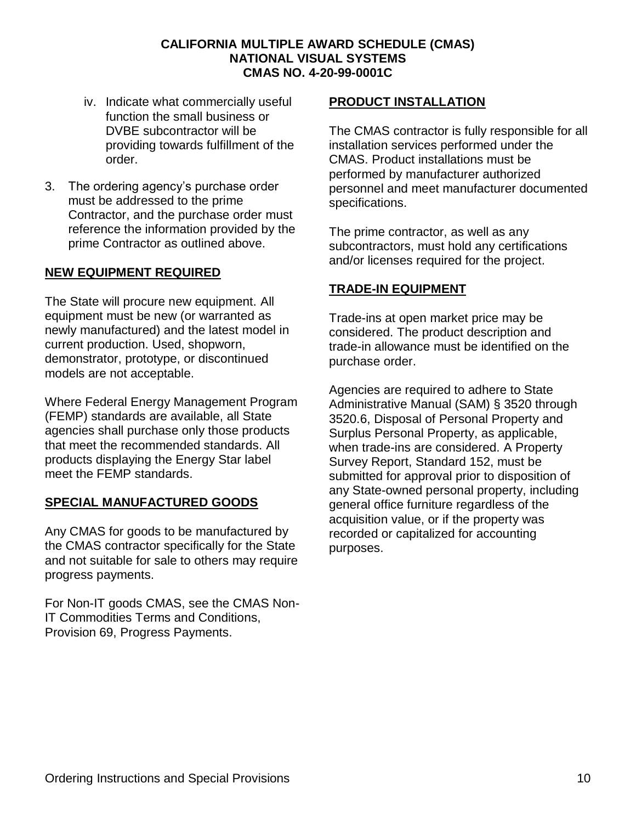- iv. Indicate what commercially useful function the small business or DVBE subcontractor will be providing towards fulfillment of the order.
- 3. The ordering agency's purchase order must be addressed to the prime Contractor, and the purchase order must reference the information provided by the prime Contractor as outlined above.

#### **NEW EQUIPMENT REQUIRED**

The State will procure new equipment. All equipment must be new (or warranted as newly manufactured) and the latest model in current production. Used, shopworn, demonstrator, prototype, or discontinued models are not acceptable.

Where Federal Energy Management Program (FEMP) standards are available, all State agencies shall purchase only those products that meet the recommended standards. All products displaying the Energy Star label meet the FEMP standards.

#### **SPECIAL MANUFACTURED GOODS**

Any CMAS for goods to be manufactured by the CMAS contractor specifically for the State and not suitable for sale to others may require progress payments.

For Non-IT goods CMAS, see the CMAS Non-IT Commodities Terms and Conditions, Provision 69, Progress Payments.

#### **PRODUCT INSTALLATION**

The CMAS contractor is fully responsible for all installation services performed under the CMAS. Product installations must be performed by manufacturer authorized personnel and meet manufacturer documented specifications.

The prime contractor, as well as any subcontractors, must hold any certifications and/or licenses required for the project.

#### **TRADE-IN EQUIPMENT**

Trade-ins at open market price may be considered. The product description and trade-in allowance must be identified on the purchase order.

Agencies are required to adhere to State Administrative Manual (SAM) § 3520 through 3520.6, Disposal of Personal Property and Surplus Personal Property, as applicable, when trade-ins are considered. A Property Survey Report, Standard 152, must be submitted for approval prior to disposition of any State-owned personal property, including general office furniture regardless of the acquisition value, or if the property was recorded or capitalized for accounting purposes.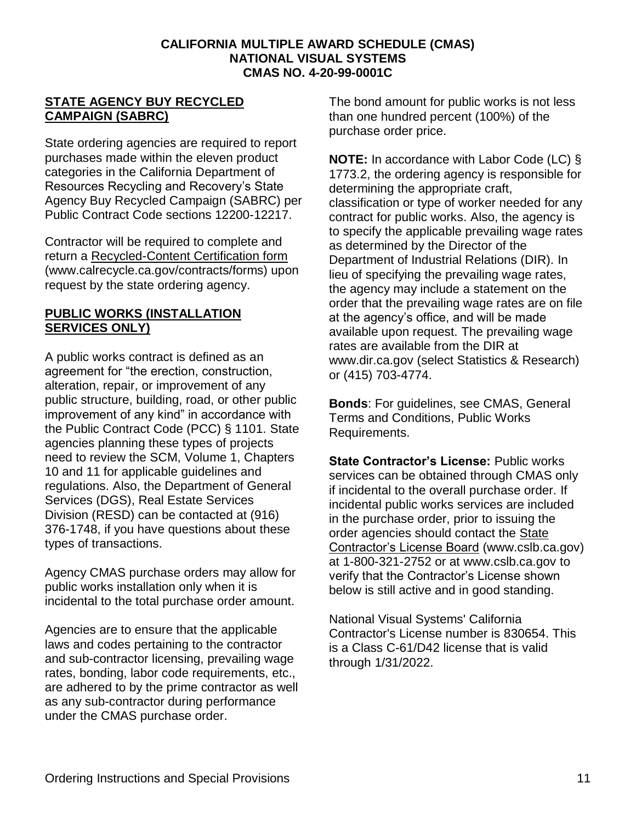#### **STATE AGENCY BUY RECYCLED CAMPAIGN (SABRC)**

State ordering agencies are required to report purchases made within the eleven product categories in the California Department of Resources Recycling and Recovery's State Agency Buy Recycled Campaign (SABRC) per Public Contract Code sections 12200-12217.

Contractor will be required to complete and return a [Recycled-Content Certification form](https://www.calrecycle.ca.gov/contracts/forms) (www.calrecycle.ca.gov/contracts/forms) upon request by the state ordering agency.

#### **PUBLIC WORKS (INSTALLATION) SERVICES ONLY)**

A public works contract is defined as an agreement for "the erection, construction, alteration, repair, or improvement of any public structure, building, road, or other public improvement of any kind" in accordance with the Public Contract Code (PCC) § 1101. State agencies planning these types of projects need to review the SCM, Volume 1, Chapters 10 and 11 for applicable guidelines and regulations. Also, the Department of General Services (DGS), Real Estate Services Division (RESD) can be contacted at (916) 376-1748, if you have questions about these types of transactions.

Agency CMAS purchase orders may allow for public works installation only when it is incidental to the total purchase order amount.

Agencies are to ensure that the applicable laws and codes pertaining to the contractor and sub-contractor licensing, prevailing wage rates, bonding, labor code requirements, etc., are adhered to by the prime contractor as well as any sub-contractor during performance under the CMAS purchase order.

The bond amount for public works is not less than one hundred percent (100%) of the purchase order price.

**NOTE:** In accordance with Labor Code (LC) § 1773.2, the ordering agency is responsible for determining the appropriate craft, classification or type of worker needed for any contract for public works. Also, the agency is to specify the applicable prevailing wage rates as determined by the Director of the Department of Industrial Relations (DIR). In lieu of specifying the prevailing wage rates, the agency may include a statement on the order that the prevailing wage rates are on file at the agency's office, and will be made available upon request. The prevailing wage rates are available from the DIR at www.dir.ca.gov (select Statistics & Research) or (415) 703-4774.

**Bonds**: For guidelines, see CMAS, General Terms and Conditions, Public Works Requirements.

**State Contractor's License:** Public works services can be obtained through CMAS only if incidental to the overall purchase order. If incidental public works services are included in the purchase order, prior to issuing the order agencies should contact the [State](http://www.cslb.ca.gov/)  [Contractor's License Board](http://www.cslb.ca.gov/) (www.cslb.ca.gov) at 1-800-321-2752 or at www.cslb.ca.gov to verify that the Contractor's License shown below is still active and in good standing.

National Visual Systems' California Contractor's License number is 830654. This is a Class C-61/D42 license that is valid through 1/31/2022.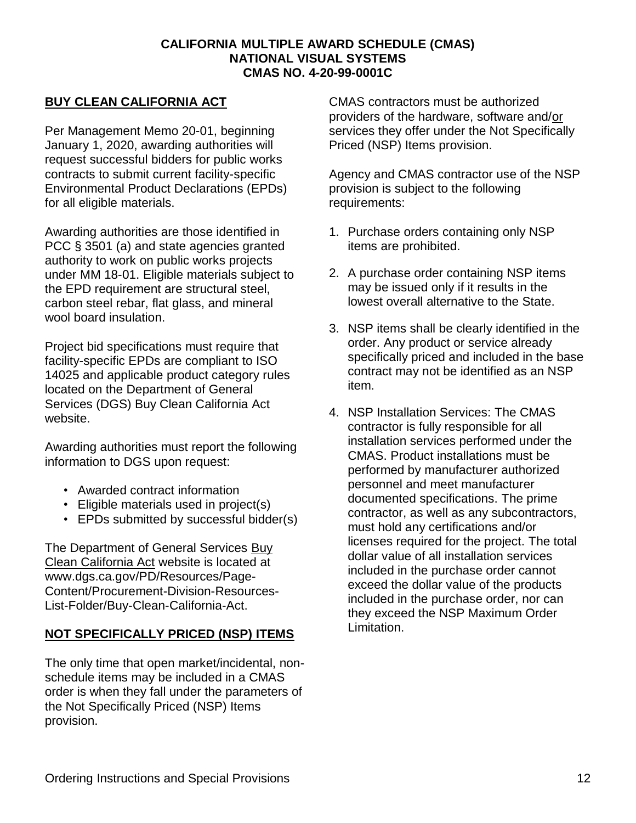#### **BUY CLEAN CALIFORNIA ACT**

Per Management Memo 20-01, beginning January 1, 2020, awarding authorities will request successful bidders for public works contracts to submit current facility-specific Environmental Product Declarations (EPDs) for all eligible materials.

Awarding authorities are those identified in PCC § 3501 (a) and state agencies granted authority to work on public works projects under MM 18-01. Eligible materials subject to the EPD requirement are structural steel, carbon steel rebar, flat glass, and mineral wool board insulation.

Project bid specifications must require that facility-specific EPDs are compliant to ISO 14025 and applicable product category rules located on the Department of General Services (DGS) Buy Clean California Act website.

Awarding authorities must report the following information to DGS upon request:

- Awarded contract information
- Eligible materials used in project(s)
- EPDs submitted by successful bidder(s)

The Department of General Services [Buy](https://www.dgs.ca.gov/PD/Resources/Page-Content/Procurement-Division-Resources-List-Folder/Buy-Clean-California-Act)  [Clean California Act](https://www.dgs.ca.gov/PD/Resources/Page-Content/Procurement-Division-Resources-List-Folder/Buy-Clean-California-Act) website is located at www.dgs.ca.gov/PD/Resources/Page-Content/Procurement-Division-Resources-List-Folder/Buy-Clean-California-Act.

#### **NOT SPECIFICALLY PRICED (NSP) ITEMS**

The only time that open market/incidental, nonschedule items may be included in a CMAS order is when they fall under the parameters of the Not Specifically Priced (NSP) Items provision.

CMAS contractors must be authorized providers of the hardware, software and/or services they offer under the Not Specifically Priced (NSP) Items provision.

Agency and CMAS contractor use of the NSP provision is subject to the following requirements:

- 1. Purchase orders containing only NSP items are prohibited.
- 2. A purchase order containing NSP items may be issued only if it results in the lowest overall alternative to the State.
- 3. NSP items shall be clearly identified in the order. Any product or service already specifically priced and included in the base contract may not be identified as an NSP item.
- 4. NSP Installation Services: The CMAS contractor is fully responsible for all installation services performed under the CMAS. Product installations must be performed by manufacturer authorized personnel and meet manufacturer documented specifications. The prime contractor, as well as any subcontractors, must hold any certifications and/or licenses required for the project. The total dollar value of all installation services included in the purchase order cannot exceed the dollar value of the products included in the purchase order, nor can they exceed the NSP Maximum Order Limitation.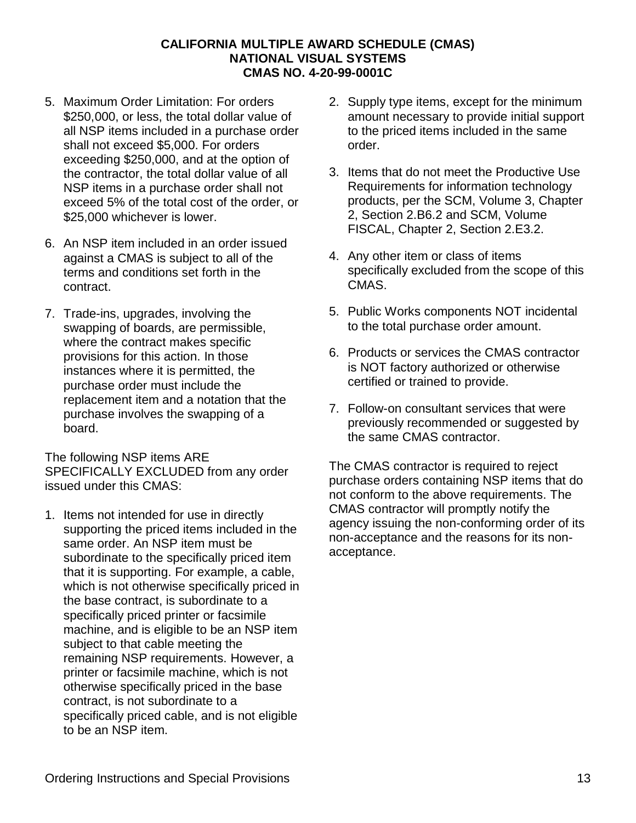- 5. Maximum Order Limitation: For orders \$250,000, or less, the total dollar value of all NSP items included in a purchase order shall not exceed \$5,000. For orders exceeding \$250,000, and at the option of the contractor, the total dollar value of all NSP items in a purchase order shall not exceed 5% of the total cost of the order, or \$25,000 whichever is lower.
- 6. An NSP item included in an order issued against a CMAS is subject to all of the terms and conditions set forth in the contract.
- 7. Trade-ins, upgrades, involving the swapping of boards, are permissible, where the contract makes specific provisions for this action. In those instances where it is permitted, the purchase order must include the replacement item and a notation that the purchase involves the swapping of a board.

The following NSP items ARE SPECIFICALLY EXCLUDED from any order issued under this CMAS:

1. Items not intended for use in directly supporting the priced items included in the same order. An NSP item must be subordinate to the specifically priced item that it is supporting. For example, a cable, which is not otherwise specifically priced in the base contract, is subordinate to a specifically priced printer or facsimile machine, and is eligible to be an NSP item subject to that cable meeting the remaining NSP requirements. However, a printer or facsimile machine, which is not otherwise specifically priced in the base contract, is not subordinate to a specifically priced cable, and is not eligible to be an NSP item.

- 2. Supply type items, except for the minimum amount necessary to provide initial support to the priced items included in the same order.
- 3. Items that do not meet the Productive Use Requirements for information technology products, per the SCM, Volume 3, Chapter 2, Section 2.B6.2 and SCM, Volume FISCAL, Chapter 2, Section 2.E3.2.
- 4. Any other item or class of items specifically excluded from the scope of this CMAS.
- 5. Public Works components NOT incidental to the total purchase order amount.
- 6. Products or services the CMAS contractor is NOT factory authorized or otherwise certified or trained to provide.
- 7. Follow-on consultant services that were previously recommended or suggested by the same CMAS contractor.

The CMAS contractor is required to reject purchase orders containing NSP items that do not conform to the above requirements. The CMAS contractor will promptly notify the agency issuing the non-conforming order of its non-acceptance and the reasons for its nonacceptance.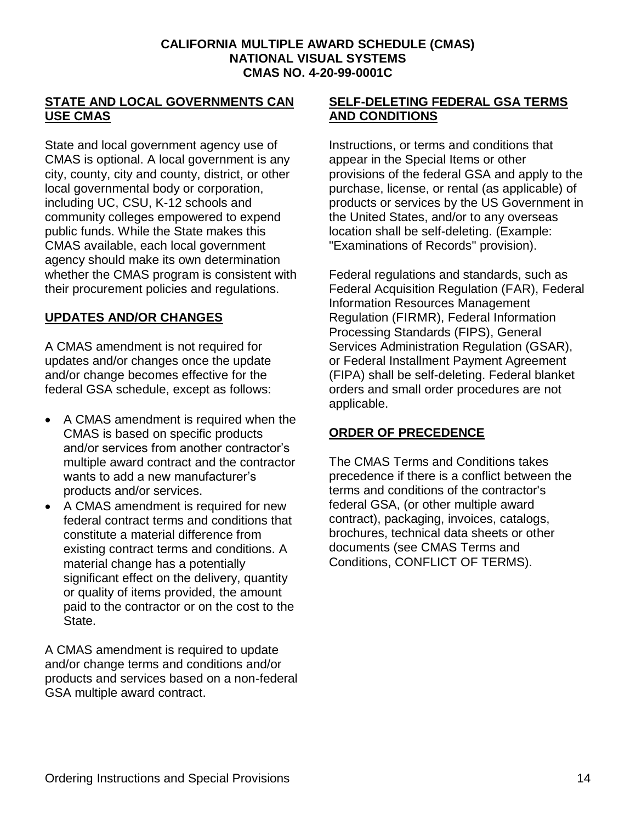#### **STATE AND LOCAL GOVERNMENTS CAN USE CMAS**

State and local government agency use of CMAS is optional. A local government is any city, county, city and county, district, or other local governmental body or corporation, including UC, CSU, K-12 schools and community colleges empowered to expend public funds. While the State makes this CMAS available, each local government agency should make its own determination whether the CMAS program is consistent with their procurement policies and regulations.

#### **UPDATES AND/OR CHANGES**

A CMAS amendment is not required for updates and/or changes once the update and/or change becomes effective for the federal GSA schedule, except as follows:

- A CMAS amendment is required when the CMAS is based on specific products and/or services from another contractor's multiple award contract and the contractor wants to add a new manufacturer's products and/or services.
- A CMAS amendment is required for new federal contract terms and conditions that constitute a material difference from existing contract terms and conditions. A material change has a potentially significant effect on the delivery, quantity or quality of items provided, the amount paid to the contractor or on the cost to the State.

A CMAS amendment is required to update and/or change terms and conditions and/or products and services based on a non-federal GSA multiple award contract.

#### **SELF-DELETING FEDERAL GSA TERMS AND CONDITIONS**

Instructions, or terms and conditions that appear in the Special Items or other provisions of the federal GSA and apply to the purchase, license, or rental (as applicable) of products or services by the US Government in the United States, and/or to any overseas location shall be self-deleting. (Example: "Examinations of Records" provision).

Federal regulations and standards, such as Federal Acquisition Regulation (FAR), Federal Information Resources Management Regulation (FIRMR), Federal Information Processing Standards (FIPS), General Services Administration Regulation (GSAR), or Federal Installment Payment Agreement (FIPA) shall be self-deleting. Federal blanket orders and small order procedures are not applicable.

## **ORDER OF PRECEDENCE**

The CMAS Terms and Conditions takes precedence if there is a conflict between the terms and conditions of the contractor's federal GSA, (or other multiple award contract), packaging, invoices, catalogs, brochures, technical data sheets or other documents (see CMAS Terms and Conditions, CONFLICT OF TERMS).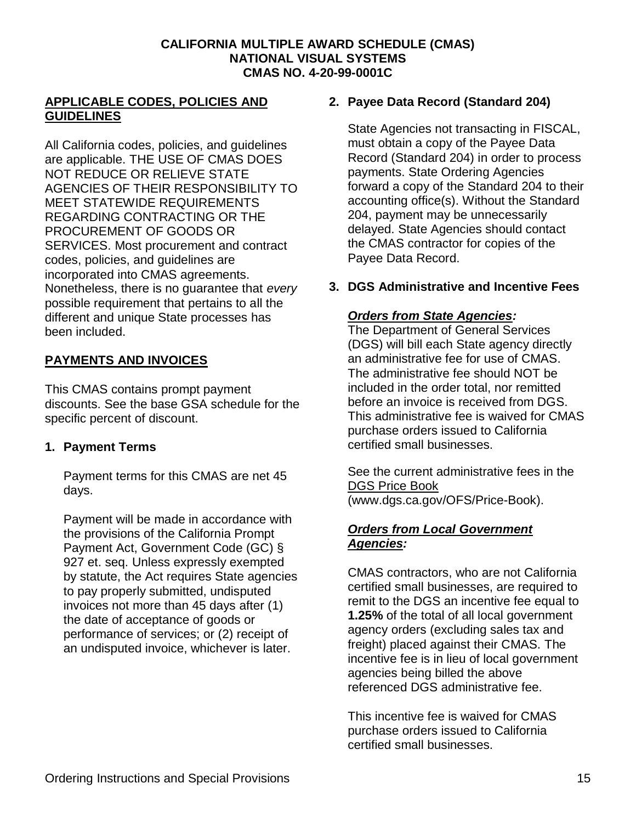#### **APPLICABLE CODES, POLICIES AND GUIDELINES**

All California codes, policies, and guidelines are applicable. THE USE OF CMAS DOES NOT REDUCE OR RELIEVE STATE AGENCIES OF THEIR RESPONSIBILITY TO MEET STATEWIDE REQUIREMENTS REGARDING CONTRACTING OR THE PROCUREMENT OF GOODS OR SERVICES. Most procurement and contract codes, policies, and guidelines are incorporated into CMAS agreements. Nonetheless, there is no guarantee that *every* possible requirement that pertains to all the different and unique State processes has been included.

#### **PAYMENTS AND INVOICES**

This CMAS contains prompt payment discounts. See the base GSA schedule for the specific percent of discount.

#### **1. Payment Terms**

Payment terms for this CMAS are net 45 days.

Payment will be made in accordance with the provisions of the California Prompt Payment Act, Government Code (GC) § 927 et. seq. Unless expressly exempted by statute, the Act requires State agencies to pay properly submitted, undisputed invoices not more than 45 days after (1) the date of acceptance of goods or performance of services; or (2) receipt of an undisputed invoice, whichever is later.

#### **2. Payee Data Record (Standard 204)**

State Agencies not transacting in FISCAL, must obtain a copy of the Payee Data Record (Standard 204) in order to process payments. State Ordering Agencies forward a copy of the Standard 204 to their accounting office(s). Without the Standard 204, payment may be unnecessarily delayed. State Agencies should contact the CMAS contractor for copies of the Payee Data Record.

#### **3. DGS Administrative and Incentive Fees**

#### *Orders from State Agencies:*

The Department of General Services (DGS) will bill each State agency directly an administrative fee for use of CMAS. The administrative fee should NOT be included in the order total, nor remitted before an invoice is received from DGS. This administrative fee is waived for CMAS purchase orders issued to California certified small businesses.

See the current administrative fees in the [DGS Price Book](https://www.dgs.ca.gov/OFS/Price-Book) (www.dgs.ca.gov/OFS/Price-Book).

#### *Orders from Local Government Agencies:*

CMAS contractors, who are not California certified small businesses, are required to remit to the DGS an incentive fee equal to **1.25%** of the total of all local government agency orders (excluding sales tax and freight) placed against their CMAS. The incentive fee is in lieu of local government agencies being billed the above referenced DGS administrative fee.

This incentive fee is waived for CMAS purchase orders issued to California certified small businesses.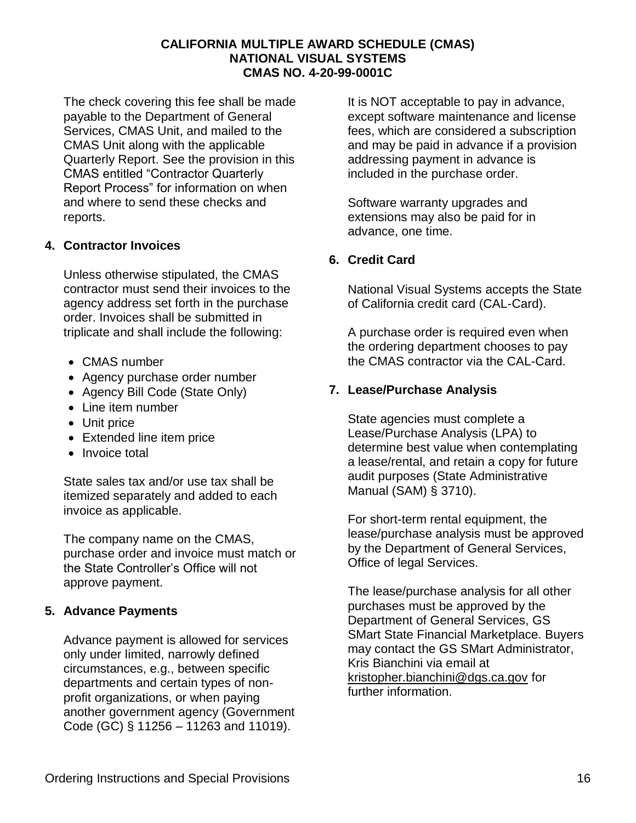The check covering this fee shall be made payable to the Department of General Services, CMAS Unit, and mailed to the CMAS Unit along with the applicable Quarterly Report. See the provision in this CMAS entitled "Contractor Quarterly Report Process" for information on when and where to send these checks and reports.

#### **4. Contractor Invoices**

Unless otherwise stipulated, the CMAS contractor must send their invoices to the agency address set forth in the purchase order. Invoices shall be submitted in triplicate and shall include the following:

- CMAS number
- Agency purchase order number
- Agency Bill Code (State Only)
- Line item number
- Unit price
- Extended line item price
- Invoice total

State sales tax and/or use tax shall be itemized separately and added to each invoice as applicable.

The company name on the CMAS, purchase order and invoice must match or the State Controller's Office will not approve payment.

## **5. Advance Payments**

Advance payment is allowed for services only under limited, narrowly defined circumstances, e.g., between specific departments and certain types of nonprofit organizations, or when paying another government agency (Government Code (GC) § 11256 – 11263 and 11019).

It is NOT acceptable to pay in advance, except software maintenance and license fees, which are considered a subscription and may be paid in advance if a provision addressing payment in advance is included in the purchase order.

Software warranty upgrades and extensions may also be paid for in advance, one time.

#### **6. Credit Card**

National Visual Systems accepts the State of California credit card (CAL-Card).

A purchase order is required even when the ordering department chooses to pay the CMAS contractor via the CAL-Card.

#### **7. Lease/Purchase Analysis**

State agencies must complete a Lease/Purchase Analysis (LPA) to determine best value when contemplating a lease/rental, and retain a copy for future audit purposes (State Administrative Manual (SAM) § 3710).

For short-term rental equipment, the lease/purchase analysis must be approved by the Department of General Services, Office of legal Services.

The lease/purchase analysis for all other purchases must be approved by the Department of General Services, GS SMart State Financial Marketplace. Buyers may contact the GS SMart Administrator, Kris Bianchini via email at [kristopher.bianchini@dgs.ca.gov](mailto:kristopher.bianchini@dgs.ca.gov) for further information.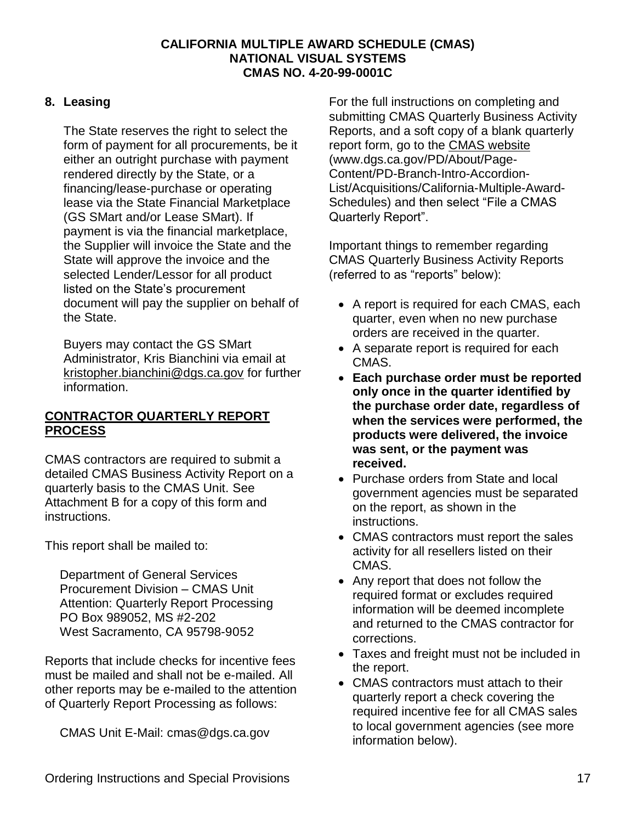#### **8. Leasing**

The State reserves the right to select the form of payment for all procurements, be it either an outright purchase with payment rendered directly by the State, or a financing/lease-purchase or operating lease via the State Financial Marketplace (GS SMart and/or Lease SMart). If payment is via the financial marketplace, the Supplier will invoice the State and the State will approve the invoice and the selected Lender/Lessor for all product listed on the State's procurement document will pay the supplier on behalf of the State.

Buyers may contact the GS SMart Administrator, Kris Bianchini via email at [kristopher.bianchini@dgs.ca.gov](mailto:kristopher.bianchini@dgs.ca.gov) for further information.

#### **CONTRACTOR QUARTERLY REPORT PROCESS**

CMAS contractors are required to submit a detailed CMAS Business Activity Report on a quarterly basis to the CMAS Unit. See Attachment B for a copy of this form and instructions.

This report shall be mailed to:

Department of General Services Procurement Division – CMAS Unit Attention: Quarterly Report Processing PO Box 989052, MS #2-202 West Sacramento, CA 95798-9052

Reports that include checks for incentive fees must be mailed and shall not be e-mailed. All other reports may be e-mailed to the attention of Quarterly Report Processing as follows:

CMAS Unit E-Mail: cmas@dgs.ca.gov

For the full instructions on completing and submitting CMAS Quarterly Business Activity Reports, and a soft copy of a blank quarterly report form, go to the [CMAS website](https://www.dgs.ca.gov/PD/About/Page-Content/PD-Branch-Intro-Accordion-List/Acquisitions/California-Multiple-Award-Schedules) (www.dgs.ca.gov/PD/About/Page-Content/PD-Branch-Intro-Accordion-List/Acquisitions/California-Multiple-Award-Schedules) and then select "File a CMAS Quarterly Report".

Important things to remember regarding CMAS Quarterly Business Activity Reports (referred to as "reports" below):

- A report is required for each CMAS, each quarter, even when no new purchase orders are received in the quarter.
- A separate report is required for each CMAS.
- **Each purchase order must be reported only once in the quarter identified by the purchase order date, regardless of when the services were performed, the products were delivered, the invoice was sent, or the payment was received.**
- Purchase orders from State and local government agencies must be separated on the report, as shown in the instructions.
- CMAS contractors must report the sales activity for all resellers listed on their CMAS.
- Any report that does not follow the required format or excludes required information will be deemed incomplete and returned to the CMAS contractor for corrections.
- Taxes and freight must not be included in the report.
- CMAS contractors must attach to their quarterly report a check covering the required incentive fee for all CMAS sales to local government agencies (see more information below).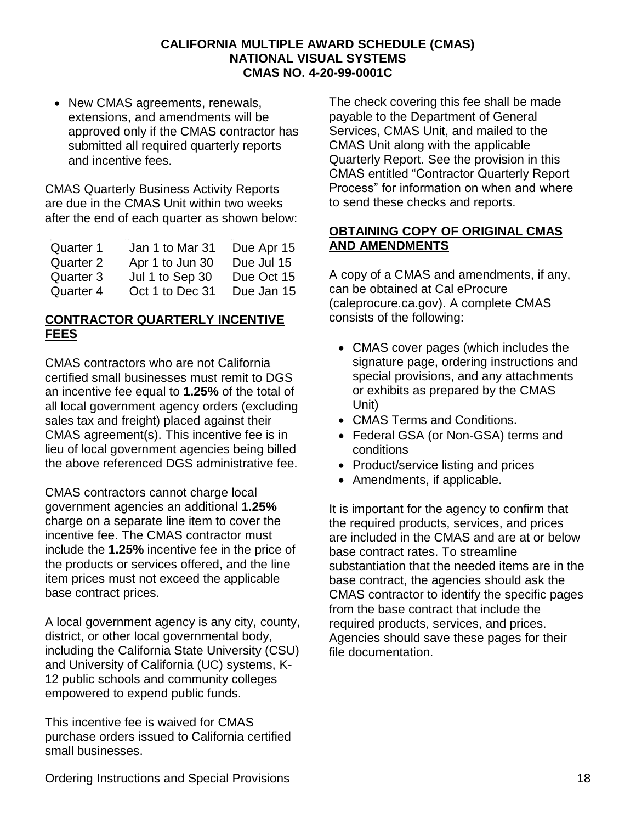• New CMAS agreements, renewals, extensions, and amendments will be approved only if the CMAS contractor has submitted all required quarterly reports and incentive fees.

CMAS Quarterly Business Activity Reports are due in the CMAS Unit within two weeks after the end of each quarter as shown below:

| Quarter 1 | Jan 1 to Mar 31 | Due Apr 15 |
|-----------|-----------------|------------|
| Quarter 2 | Apr 1 to Jun 30 | Due Jul 15 |
| Quarter 3 | Jul 1 to Sep 30 | Due Oct 15 |
| Quarter 4 | Oct 1 to Dec 31 | Due Jan 15 |

#### **CONTRACTOR QUARTERLY INCENTIVE FEES**

CMAS contractors who are not California certified small businesses must remit to DGS an incentive fee equal to **1.25%** of the total of all local government agency orders (excluding sales tax and freight) placed against their CMAS agreement(s). This incentive fee is in lieu of local government agencies being billed the above referenced DGS administrative fee.

CMAS contractors cannot charge local government agencies an additional **1.25%** charge on a separate line item to cover the incentive fee. The CMAS contractor must include the **1.25%** incentive fee in the price of the products or services offered, and the line item prices must not exceed the applicable base contract prices.

A local government agency is any city, county, district, or other local governmental body, including the California State University (CSU) and University of California (UC) systems, K-12 public schools and community colleges empowered to expend public funds.

This incentive fee is waived for CMAS purchase orders issued to California certified small businesses.

The check covering this fee shall be made payable to the Department of General Services, CMAS Unit, and mailed to the CMAS Unit along with the applicable Quarterly Report. See the provision in this CMAS entitled "Contractor Quarterly Report Process" for information on when and where to send these checks and reports.

#### **OBTAINING COPY OF ORIGINAL CMAS AND AMENDMENTS**

A copy of a CMAS and amendments, if any, can be obtained at [Cal eProcure](https://caleprocure.ca.gov/) (caleprocure.ca.gov). A complete CMAS consists of the following:

- CMAS cover pages (which includes the signature page, ordering instructions and special provisions, and any attachments or exhibits as prepared by the CMAS Unit)
- CMAS Terms and Conditions.
- Federal GSA (or Non-GSA) terms and conditions
- Product/service listing and prices
- Amendments, if applicable.

It is important for the agency to confirm that the required products, services, and prices are included in the CMAS and are at or below base contract rates. To streamline substantiation that the needed items are in the base contract, the agencies should ask the CMAS contractor to identify the specific pages from the base contract that include the required products, services, and prices. Agencies should save these pages for their file documentation.

Ordering Instructions and Special Provisions 18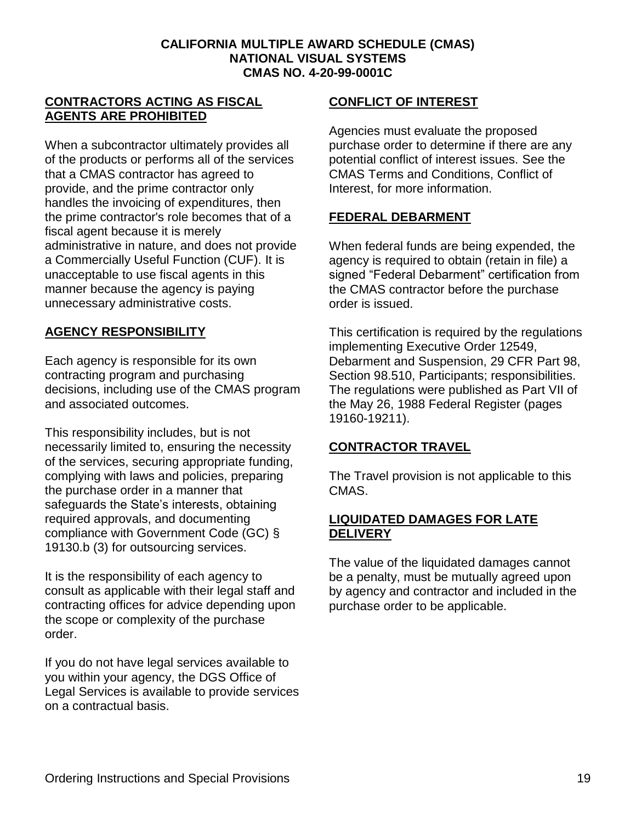#### **CONTRACTORS ACTING AS FISCAL AGENTS ARE PROHIBITED**

When a subcontractor ultimately provides all of the products or performs all of the services that a CMAS contractor has agreed to provide, and the prime contractor only handles the invoicing of expenditures, then the prime contractor's role becomes that of a fiscal agent because it is merely administrative in nature, and does not provide a Commercially Useful Function (CUF). It is unacceptable to use fiscal agents in this manner because the agency is paying unnecessary administrative costs.

#### **AGENCY RESPONSIBILITY**

Each agency is responsible for its own contracting program and purchasing decisions, including use of the CMAS program and associated outcomes.

This responsibility includes, but is not necessarily limited to, ensuring the necessity of the services, securing appropriate funding, complying with laws and policies, preparing the purchase order in a manner that safeguards the State's interests, obtaining required approvals, and documenting compliance with Government Code (GC) § 19130.b (3) for outsourcing services.

It is the responsibility of each agency to consult as applicable with their legal staff and contracting offices for advice depending upon the scope or complexity of the purchase order.

If you do not have legal services available to you within your agency, the DGS Office of Legal Services is available to provide services on a contractual basis.

#### **CONFLICT OF INTEREST**

Agencies must evaluate the proposed purchase order to determine if there are any potential conflict of interest issues. See the CMAS Terms and Conditions, Conflict of Interest, for more information.

#### **FEDERAL DEBARMENT**

When federal funds are being expended, the agency is required to obtain (retain in file) a signed "Federal Debarment" certification from the CMAS contractor before the purchase order is issued.

This certification is required by the regulations implementing Executive Order 12549, Debarment and Suspension, 29 CFR Part 98, Section 98.510, Participants; responsibilities. The regulations were published as Part VII of the May 26, 1988 Federal Register (pages 19160-19211).

#### **CONTRACTOR TRAVEL**

The Travel provision is not applicable to this CMAS.

#### **LIQUIDATED DAMAGES FOR LATE DELIVERY**

The value of the liquidated damages cannot be a penalty, must be mutually agreed upon by agency and contractor and included in the purchase order to be applicable.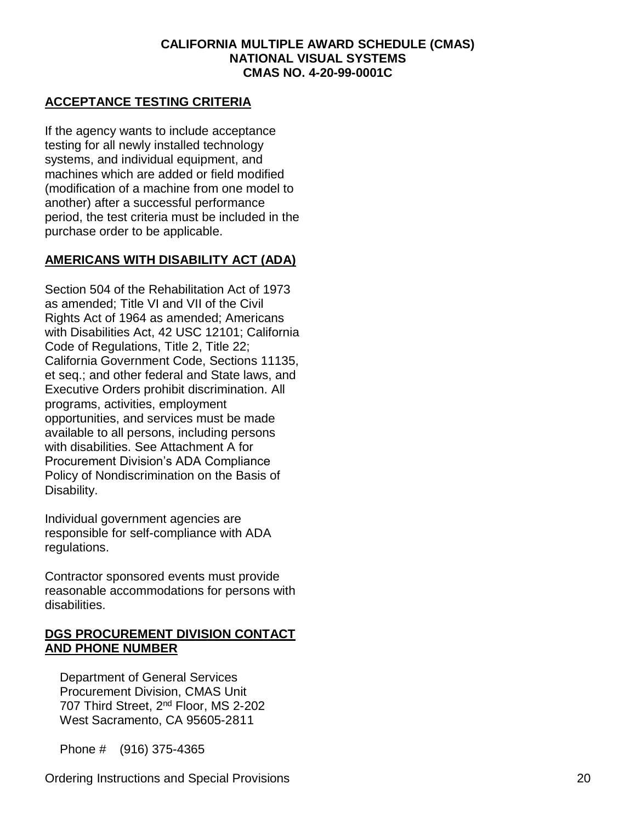#### **ACCEPTANCE TESTING CRITERIA**

If the agency wants to include acceptance testing for all newly installed technology systems, and individual equipment, and machines which are added or field modified (modification of a machine from one model to another) after a successful performance period, the test criteria must be included in the purchase order to be applicable.

#### **AMERICANS WITH DISABILITY ACT (ADA)**

Section 504 of the Rehabilitation Act of 1973 as amended; Title VI and VII of the Civil Rights Act of 1964 as amended; Americans with Disabilities Act, 42 USC 12101; California Code of Regulations, Title 2, Title 22; California Government Code, Sections 11135, et seq.; and other federal and State laws, and Executive Orders prohibit discrimination. All programs, activities, employment opportunities, and services must be made available to all persons, including persons with disabilities. See Attachment A for Procurement Division's ADA Compliance Policy of Nondiscrimination on the Basis of Disability.

Individual government agencies are responsible for self-compliance with ADA regulations.

Contractor sponsored events must provide reasonable accommodations for persons with disabilities.

#### **DGS PROCUREMENT DIVISION CONTACT AND PHONE NUMBER**

Department of General Services Procurement Division, CMAS Unit 707 Third Street, 2<sup>nd</sup> Floor, MS 2-202 West Sacramento, CA 95605-2811

Phone # (916) 375-4365

Ordering Instructions and Special Provisions 20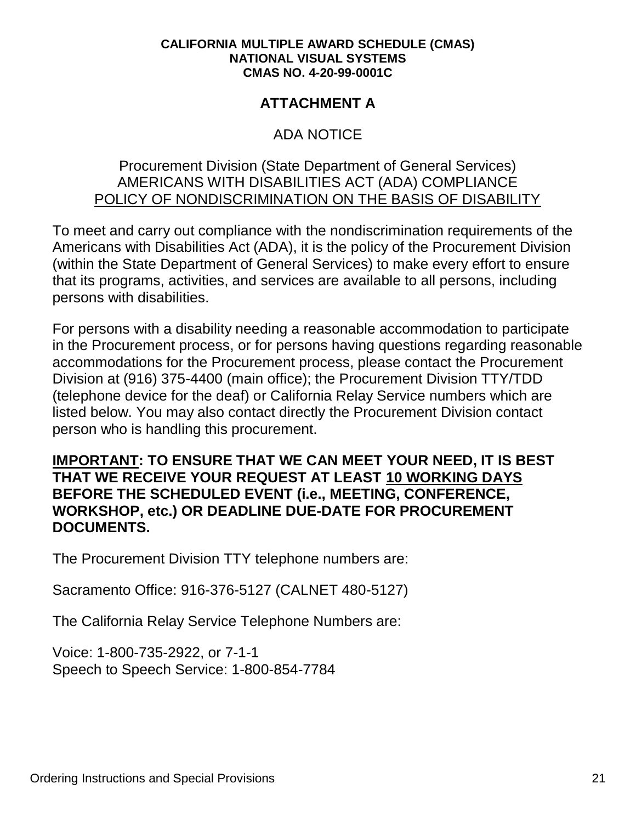# **ATTACHMENT A**

# ADA NOTICE

# Procurement Division (State Department of General Services) AMERICANS WITH DISABILITIES ACT (ADA) COMPLIANCE POLICY OF NONDISCRIMINATION ON THE BASIS OF DISABILITY

To meet and carry out compliance with the nondiscrimination requirements of the Americans with Disabilities Act (ADA), it is the policy of the Procurement Division (within the State Department of General Services) to make every effort to ensure that its programs, activities, and services are available to all persons, including persons with disabilities.

For persons with a disability needing a reasonable accommodation to participate in the Procurement process, or for persons having questions regarding reasonable accommodations for the Procurement process, please contact the Procurement Division at (916) 375-4400 (main office); the Procurement Division TTY/TDD (telephone device for the deaf) or California Relay Service numbers which are listed below. You may also contact directly the Procurement Division contact person who is handling this procurement.

# **IMPORTANT: TO ENSURE THAT WE CAN MEET YOUR NEED, IT IS BEST THAT WE RECEIVE YOUR REQUEST AT LEAST 10 WORKING DAYS BEFORE THE SCHEDULED EVENT (i.e., MEETING, CONFERENCE, WORKSHOP, etc.) OR DEADLINE DUE-DATE FOR PROCUREMENT DOCUMENTS.**

The Procurement Division TTY telephone numbers are:

Sacramento Office: 916-376-5127 (CALNET 480-5127)

The California Relay Service Telephone Numbers are:

Voice: 1-800-735-2922, or 7-1-1 Speech to Speech Service: 1-800-854-7784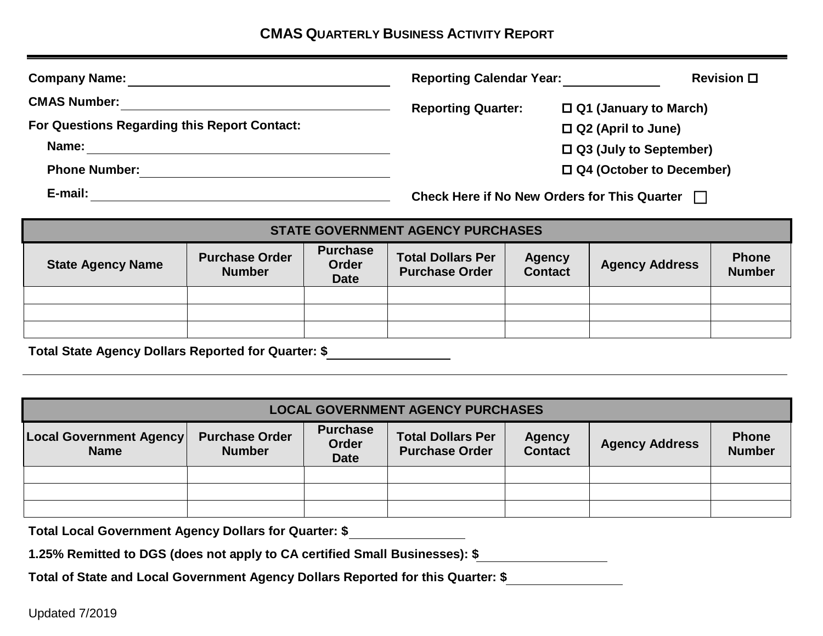| <b>Company Name:</b>                         |                                                     | <b>Reporting Calendar Year:</b> |  |
|----------------------------------------------|-----------------------------------------------------|---------------------------------|--|
| <b>CMAS Number:</b>                          | <b>Reporting Quarter:</b>                           | $\Box$ Q1 (January to March)    |  |
| For Questions Regarding this Report Contact: |                                                     | $\Box$ Q2 (April to June)       |  |
| Name:                                        |                                                     | $\Box$ Q3 (July to September)   |  |
| <b>Phone Number:</b>                         |                                                     | $\Box$ Q4 (October to December) |  |
| E-mail:                                      | <b>Check Here if No New Orders for This Quarter</b> |                                 |  |
|                                              | <b>STATE GOVERNMENT AGENCY PURCHASES</b>            |                                 |  |

| <b>State Agency Name</b> | <b>Purchase Order</b><br><b>Number</b> | <b>Purchase</b><br>Order<br><b>Date</b> | <b>Total Dollars Per</b><br><b>Purchase Order</b> | <b>Agency</b><br><b>Contact</b> | <b>Agency Address</b> | <b>Phone</b><br><b>Number</b> |
|--------------------------|----------------------------------------|-----------------------------------------|---------------------------------------------------|---------------------------------|-----------------------|-------------------------------|
|                          |                                        |                                         |                                                   |                                 |                       |                               |
|                          |                                        |                                         |                                                   |                                 |                       |                               |
|                          |                                        |                                         |                                                   |                                 |                       |                               |

**Total State Agency Dollars Reported for Quarter: \$**

| <b>LOCAL GOVERNMENT AGENCY PURCHASES</b>      |                                        |                                         |                                                   |                                 |                       |                               |
|-----------------------------------------------|----------------------------------------|-----------------------------------------|---------------------------------------------------|---------------------------------|-----------------------|-------------------------------|
| <b>Local Government Agency</b><br><b>Name</b> | <b>Purchase Order</b><br><b>Number</b> | <b>Purchase</b><br>Order<br><b>Date</b> | <b>Total Dollars Per</b><br><b>Purchase Order</b> | <b>Agency</b><br><b>Contact</b> | <b>Agency Address</b> | <b>Phone</b><br><b>Number</b> |
|                                               |                                        |                                         |                                                   |                                 |                       |                               |
|                                               |                                        |                                         |                                                   |                                 |                       |                               |
|                                               |                                        |                                         |                                                   |                                 |                       |                               |

**Total Local Government Agency Dollars for Quarter: \$**

|  | 1.25% Remitted to DGS (does not apply to CA certified Small Businesses): \$ |  |
|--|-----------------------------------------------------------------------------|--|
|--|-----------------------------------------------------------------------------|--|

**Total of State and Local Government Agency Dollars Reported for this Quarter: \$**